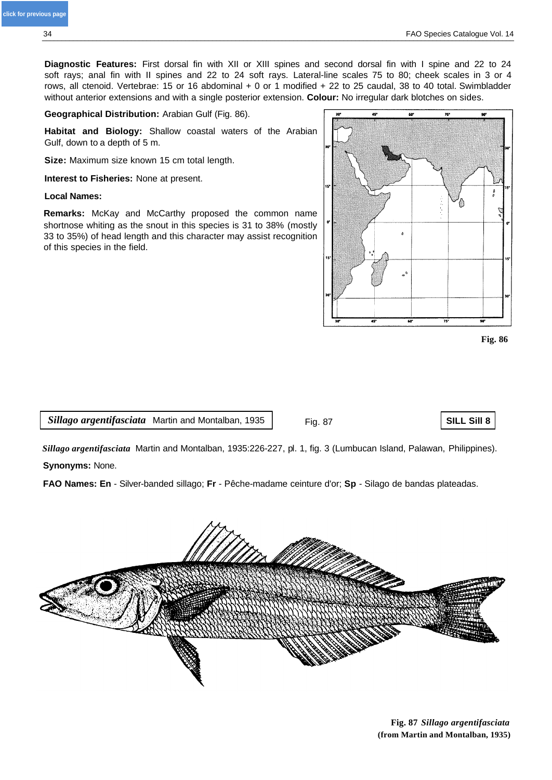$\theta$ 

**Diagnostic Features:** First dorsal fin with XII or XIII spines and second dorsal fin with I spine and 22 to 24 soft rays; anal fin with II spines and 22 to 24 soft rays. Lateral-line scales 75 to 80; cheek scales in 3 or 4 rows, all ctenoid. Vertebrae: 15 or 16 abdominal + 0 or 1 modified + 22 to 25 caudal, 38 to 40 total. Swimbladder without anterior extensions and with a single posterior extension. **Colour:** No irregular dark blotches on sides.

**Geographical Distribution:** Arabian Gulf (Fig. 86).

**Habitat and Biology:** Shallow coastal waters of the Arabian Gulf, down to a depth of 5 m.

**Size:** Maximum size known 15 cm total length.

**Interest to Fisheries:** None at present.

## **Local Names:**

**Remarks:** McKay and McCarthy proposed the common name shortnose whiting as the snout in this species is 31 to 38% (mostly 33 to 35%) of head length and this character may assist recognition of this species in the field.



*Sillago argentifasciata* Martin and Montalban, 1935

Fig. 87 **SILL Sill 8**

**Fig. 86**

*Sillago argentifasciata* Martin and Montalban, 1935:226-227, pl. 1, fig. 3 (Lumbucan Island, Palawan, Philippines). **Synonyms:** None.

**FAO Names: En** - Silver-banded sillago; **Fr** - Pêche-madame ceinture d'or; **Sp** - Silago de bandas plateadas.





**[click for previous page](#page-11-0)**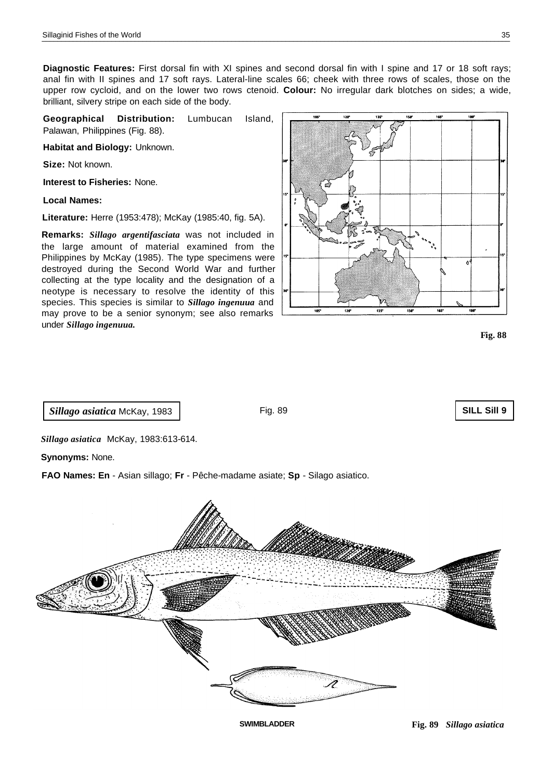**Diagnostic Features:** First dorsal fin with XI spines and second dorsal fin with I spine and 17 or 18 soft rays; anal fin with II spines and 17 soft rays. Lateral-line scales 66; cheek with three rows of scales, those on the upper row cycloid, and on the lower two rows ctenoid. **Colour:** No irregular dark blotches on sides; a wide, brilliant, silvery stripe on each side of the body.

**Geographical Distribution:** Lumbucan Island, Palawan, Philippines (Fig. 88).

**Habitat and Biology:** Unknown.

**Size:** Not known.

**Interest to Fisheries:** None.

**Local Names:**

**Literature:** Herre (1953:478); McKay (1985:40, fig. 5A).

**Remarks:** *Sillago argentifasciata* was not included in the large amount of material examined from the Philippines by McKay (1985). The type specimens were destroyed during the Second World War and further collecting at the type locality and the designation of a neotype is necessary to resolve the identity of this species. This species is similar to *Sillago ingenuua* and may prove to be a senior synonym; see also remarks under *Sillago ingenuua.*



**Fig. 88**

**SILL Sill 9**

*Sillago asiatica* McKay, 1983

Fig. 89

*Sillago asiatica* McKay, 1983:613-614.

**Synonyms:** None.

**FAO Names: En** - Asian sillago; **Fr** - Pêche-madame asiate; **Sp** - Silago asiatico.

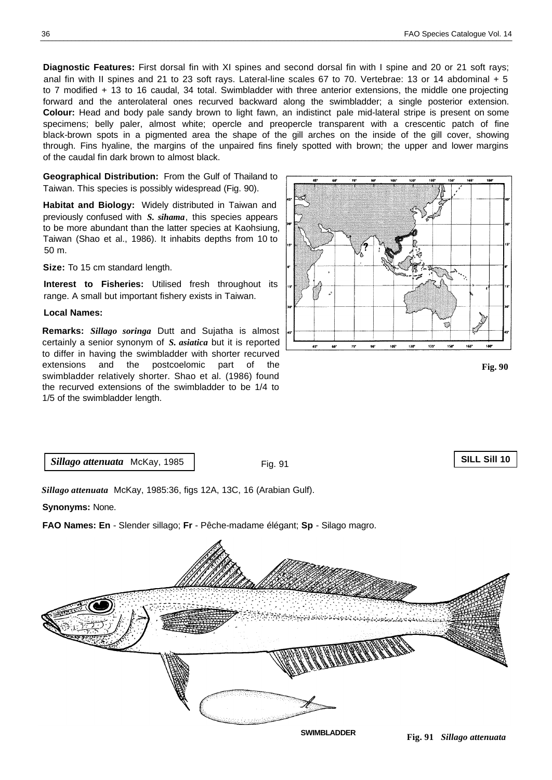**Diagnostic Features:** First dorsal fin with XI spines and second dorsal fin with I spine and 20 or 21 soft rays; anal fin with II spines and 21 to 23 soft rays. Lateral-line scales 67 to 70. Vertebrae: 13 or 14 abdominal + 5 to 7 modified + 13 to 16 caudal, 34 total. Swimbladder with three anterior extensions, the middle one projecting forward and the anterolateral ones recurved backward along the swimbladder; a single posterior extension. **Colour:** Head and body pale sandy brown to light fawn, an indistinct pale mid-lateral stripe is present on some specimens; belly paler, almost white; opercle and preopercle transparent with a crescentic patch of fine black-brown spots in a pigmented area the shape of the gill arches on the inside of the gill cover, showing through. Fins hyaline, the margins of the unpaired fins finely spotted with brown; the upper and lower margins of the caudal fin dark brown to almost black.

**Geographical Distribution:** From the Gulf of Thailand to Taiwan. This species is possibly widespread (Fig. 90).

**Habitat and Biology:** Widely distributed in Taiwan and previously confused with *S. sihama*, this species appears to be more abundant than the latter species at Kaohsiung, Taiwan (Shao et al., 1986). It inhabits depths from 10 to 50 m.

**Size:** To 15 cm standard length.

**Interest to Fisheries:** Utilised fresh throughout its range. A small but important fishery exists in Taiwan.

## **Local Names:**

**Remarks:** *Sillago soringa* Dutt and Sujatha is almost certainly a senior synonym of *S. asiatica* but it is reported to differ in having the swimbladder with shorter recurved extensions and the postcoelomic part of the swimbladder relatively shorter. Shao et al. (1986) found the recurved extensions of the swimbladder to be 1/4 to 1/5 of the swimbladder length.



**Fig. 90**

*Sillago attenuata* McKay, 1985

Fig. 91

## **SILL Sill 10**

*Sillago attenuata* McKay, 1985:36, figs 12A, 13C, 16 (Arabian Gulf).

**Synonyms:** None.

**FAO Names: En** - Slender sillago; **Fr** - Pêche-madame élégant; **Sp** - Silago magro.

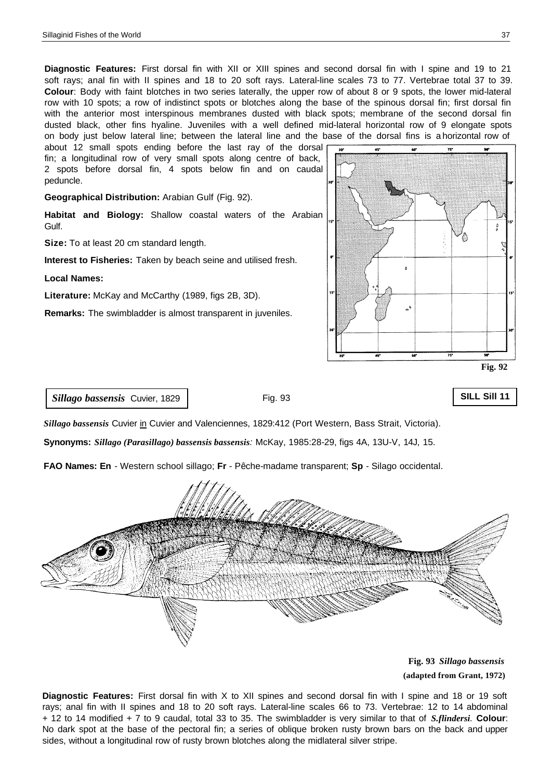**Diagnostic Features:** First dorsal fin with XII or XIII spines and second dorsal fin with I spine and 19 to 21 soft rays; anal fin with II spines and 18 to 20 soft rays. Lateral-line scales 73 to 77. Vertebrae total 37 to 39. **Colour**: Body with faint blotches in two series laterally, the upper row of about 8 or 9 spots, the lower mid-lateral row with 10 spots; a row of indistinct spots or blotches along the base of the spinous dorsal fin; first dorsal fin with the anterior most interspinous membranes dusted with black spots; membrane of the second dorsal fin dusted black, other fins hyaline. Juveniles with a well defined mid-lateral horizontal row of 9 elongate spots on body just below lateral line; between the lateral line and the base of the dorsal fins is a horizontal row of

about 12 small spots ending before the last ray of the dorsal fin; a longitudinal row of very small spots along centre of back, 2 spots before dorsal fin, 4 spots below fin and on caudal peduncle.

**Geographical Distribution:** Arabian Gulf (Fig. 92).

**Habitat and Biology:** Shallow coastal waters of the Arabian Gulf.

**Size:** To at least 20 cm standard length.

**Interest to Fisheries:** Taken by beach seine and utilised fresh.

**Local Names:**

**Literature:** McKay and McCarthy (1989, figs 2B, 3D).

**Remarks:** The swimbladder is almost transparent in juveniles.



*Sillago bassensis* Cuvier, 1829

Fig. 93

**SILL Sill 11**

*Sillago bassensis* Cuvier in Cuvier and Valenciennes, 1829:412 (Port Western, Bass Strait, Victoria).

**Synonyms:** *Sillago (Parasillago) bassensis bassensis:* McKay, 1985:28-29, figs 4A, 13U-V, 14J, 15.

**FAO Names: En** - Western school sillago; **Fr** - Pêche-madame transparent; **Sp** - Silago occidental.



**Fig. 93** *Sillago bassensis*  **(adapted from Grant, 1972)**

**Diagnostic Features:** First dorsal fin with X to XII spines and second dorsal fin with I spine and 18 or 19 soft rays; anal fin with II spines and 18 to 20 soft rays. Lateral-line scales 66 to 73. Vertebrae: 12 to 14 abdominal + 12 to 14 modified + 7 to 9 caudal, total 33 to 35. The swimbladder is very similar to that of *S.flindersi.* **Colour**: No dark spot at the base of the pectoral fin; a series of oblique broken rusty brown bars on the back and upper sides, without a longitudinal row of rusty brown blotches along the midlateral silver stripe.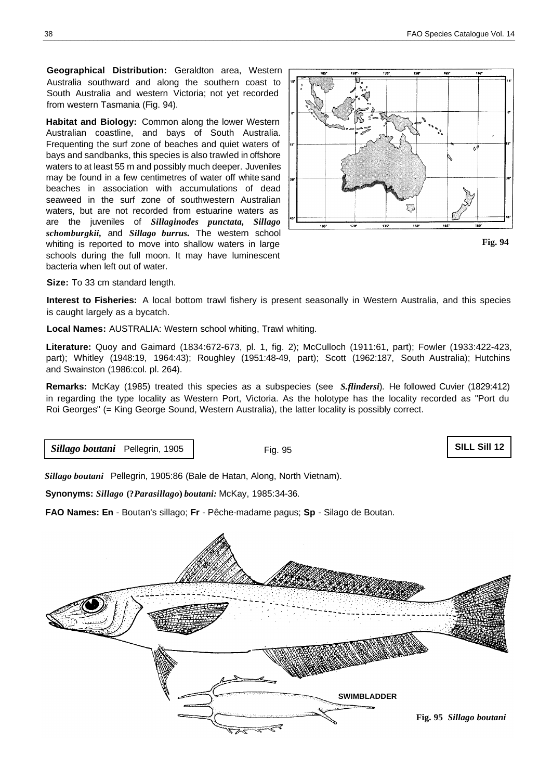**Geographical Distribution:** Geraldton area, Western Australia southward and along the southern coast to South Australia and western Victoria; not yet recorded from western Tasmania (Fig. 94).

**Habitat and Biology:** Common along the lower Western Australian coastline, and bays of South Australia. Frequenting the surf zone of beaches and quiet waters of bays and sandbanks, this species is also trawled in offshore waters to at least 55 m and possibly much deeper. Juveniles may be found in a few centimetres of water off white sand beaches in association with accumulations of dead seaweed in the surf zone of southwestern Australian waters, but are not recorded from estuarine waters as are the juveniles of *Sillaginodes punctata, Sillago schomburgkii,* and *Sillago burrus.* The western school whiting is reported to move into shallow waters in large schools during the full moon. It may have luminescent bacteria when left out of water.



**Size:** To 33 cm standard length.

**Interest to Fisheries:** A local bottom trawl fishery is present seasonally in Western Australia, and this species is caught largely as a bycatch.

**Local Names:** AUSTRALIA: Western school whiting, Trawl whiting.

**Literature:** Quoy and Gaimard (1834:672-673, pl. 1, fig. 2); McCulloch (1911:61, part); Fowler (1933:422-423, part); Whitley (1948:19, 1964:43); Roughley (1951:48-49, part); Scott (1962:187, South Australia); Hutchins and Swainston (1986:col. pl. 264).

**Remarks:** McKay (1985) treated this species as a subspecies (see *S.flindersi*). He followed Cuvier (1829:412) in regarding the type locality as Western Port, Victoria. As the holotype has the locality recorded as "Port du Roi Georges" (= King George Sound, Western Australia), the latter locality is possibly correct.

*Sillago boutani* Pellegrin, 1905

Fig. 95

**SILL Sill 12**

*Sillago boutani* Pellegrin, 1905:86 (Bale de Hatan, Along, North Vietnam).

**Synonyms:** *Sillago* **(?***Parasillago***)** *boutani:* McKay, 1985:34-36.

**FAO Names: En** - Boutan's sillago; **Fr** - Pêche-madame pagus; **Sp** - Silago de Boutan.

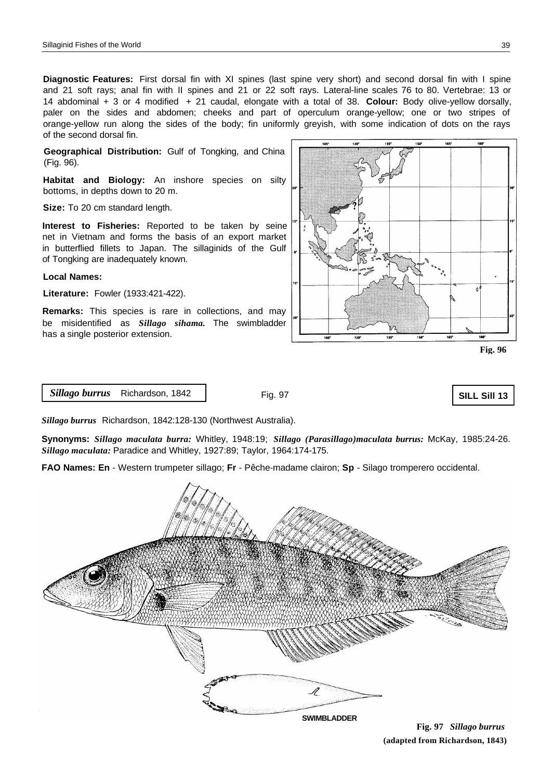**Diagnostic Features:** First dorsal fin with XI spines (last spine very short) and second dorsal fin with I spine and 21 soft rays; anal fin with II spines and 21 or 22 soft rays. Lateral-line scales 76 to 80. Vertebrae: 13 or 14 abdominal + 3 or 4 modified + 21 caudal, elongate with a total of 38. **Colour:** Body olive-yellow dorsally, paler on the sides and abdomen; cheeks and part of operculum orange-yellow; one or two stripes of orange-yellow run along the sides of the body; fin uniformly greyish, with some indication of dots on the rays of the second dorsal fin.

**Geographical Distribution:** Gulf of Tongking, and China (Fig. 96).

**Habitat and Biology:** An inshore species on silty bottoms, in depths down to 20 m.

**Size:** To 20 cm standard length.

**Interest to Fisheries:** Reported to be taken by seine net in Vietnam and forms the basis of an export market in butterflied fillets to Japan. The sillaginids of the Gulf of Tongking are inadequately known.

## **Local Names:**

**Literature:** Fowler (1933:421-422).

**Remarks:** This species is rare in collections, and may be misidentified as *Sillago sihama.* The swimbladder has a single posterior extension.



*Sillago burrus* Richardson, 1842

Fig. 97

**SILL Sill 13**

*Sillago burrus* Richardson, 1842:128-130 (Northwest Australia).

**Synonyms:** *Sillago maculata burra:* Whitley, 1948:19; *Sillago (Parasillago)maculata burrus:* McKay, 1985:24-26. *Sillago maculata:* Paradice and Whitley, 1927:89; Taylor, 1964:174-175.

**FAO Names: En** - Western trumpeter sillago; **Fr** - Pêche-madame clairon; **Sp** - Silago tromperero occidental.



**Fig. 97** *Sillago burrus*  **(adapted from Richardson, 1843)**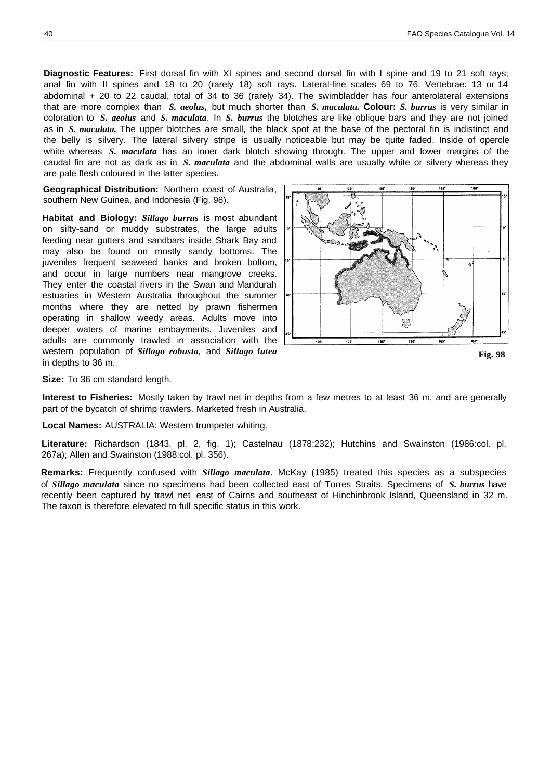**Diagnostic Features:** First dorsal fin with XI spines and second dorsal fin with I spine and 19 to 21 soft rays; anal fin with II spines and 18 to 20 (rarely 18) soft rays. Lateral-line scales 69 to 76. Vertebrae: 13 or 14 abdominal + 20 to 22 caudal, total of 34 to 36 (rarely 34). The swimbladder has four anterolateral extensions that are more complex than *S. aeolus,* but much shorter than *S. maculata.* **Colour:** *S. burrus* is very similar in coloration to *S. aeolus* and *S. maculata.* In *S. burrus* the blotches are like oblique bars and they are not joined as in *S. maculata.* The upper blotches are small, the black spot at the base of the pectoral fin is indistinct and the belly is silvery. The lateral silvery stripe is usually noticeable but may be quite faded. Inside of opercle white whereas *S. maculata* has an inner dark blotch showing through. The upper and lower margins of the caudal fin are not as dark as in *S. maculata* and the abdominal walls are usually white or silvery whereas they are pale flesh coloured in the latter species.

**Geographical Distribution:** Northern coast of Australia, southern New Guinea, and Indonesia (Fig. 98).

**Habitat and Biology:** *Sillago burrus* is most abundant on silty-sand or muddy substrates, the large adults feeding near gutters and sandbars inside Shark Bay and may also be found on mostly sandy bottoms. The juveniles frequent seaweed banks and broken bottom, and occur in large numbers near mangrove creeks. They enter the coastal rivers in the Swan and Mandurah estuaries in Western Australia throughout the summer months where they are netted by prawn fishermen operating in shallow weedy areas. Adults move into deeper waters of marine embayments. Juveniles and adults are commonly trawled in association with the western population of *Sillago robusta,* and *Sillago lutea* in depths to 36 m.



**Size:** To 36 cm standard length.

**Interest to Fisheries:** Mostly taken by trawl net in depths from a few metres to at least 36 m, and are generally part of the bycatch of shrimp trawlers. Marketed fresh in Australia.

**Local Names:** AUSTRALIA: Western trumpeter whiting.

**Literature:** Richardson (1843, pl. 2, fig. 1); Castelnau (1878:232); Hutchins and Swainston (1986:col. pl. 267a); Allen and Swainston (1988:col. pl. 356).

**Remarks:** Frequently confused with *Sillago maculata*. McKay (1985) treated this species as a subspecies of *Sillago maculata* since no specimens had been collected east of Torres Straits. Specimens of *S. burrus* have recently been captured by trawl net east of Cairns and southeast of Hinchinbrook Island, Queensland in 32 m. The taxon is therefore elevated to full specific status in this work.